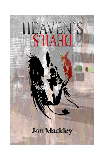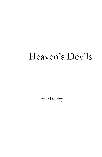## Heaven"s Devils

Jon Mackley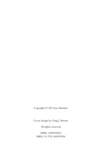Copyright © 2013 Jon Mackley

Cover design by Craig J. Brown

All rights reserved.

ISBN: 1500593052 ISBN-13: 978-1500593056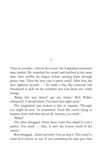1

'First six months – they're the worst,' the longhaired emaciated man snarled. He scratched his crotch and belched at the same time, then sniffed his fingers before running them through greasy hair. "Then the next year is pretty awful. After that, the next eighteen months ...' he made a face like someone had threatened to pull out his eyelashes and turn them into violin strings.

'Being this way doesn't get any better,' Rob Walker whispered. 'I should know. I've been here eight years.'

The longhaired man looked at him in surprise. "Thought you might be new,' he murmured. 'Look like you're trying to impress them with that suit an'all. Anyway, you smell.'

"What?"

The other shrugged. 'Some fancy water that might've cost a packet. You smell … false. It ain"t the honest smell of the streets.'

Rob shrugged. *Alcohol and urine? You can keep it*. This wasn"t a scent he'd choose to use. It was something his aunt gave him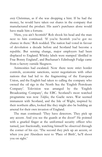*every* Christmas, as if she was dropping a hint. If he had the money, he would have taken out shares in the company that manufactured the product. His aunt's purchases alone would have made him a fortune.

'Here, you ain't Scottish?' Rob shook his head and the man next to him continued. "If you"re Scottish you"ve got no chance in there." Rob nodded. The nation had voted in favour of devolution a decade before and Scotland had become a republic. But sensing change, major employers had been displaced to England. Whisky labels were stamped "distilled in Frae Bonny England', and Buchanan's Edinburgh Fudge came from a factory outside Skegness.

Animosities had escalated. Now there were strict border controls, economic sanctions, secret negotiations with other nations that had led to the fragmenting of the European Union, and the English had taken to calling the company who owned the oil rigs in the North Sea the "English Petroleum Company'. Television was arranged by the 'English Broadcasting Company', the EBC. Scotland's most watched programme was now *Telefios*, the Gaelic news. War seemed immanent with Scotland, and the Isle of Wight, inspired by their northern allies, looked like they might also be building an arsenal for their own invasion of England.

The man continued: "They have detectors. They pick up any accent. And you see the guards at the door?" He pointed with a gnarled finger at the uniformed security officer who turned, just fractionally, watching himself be observed through the corner of his eye. "The second they pick up an accent, or when you put Aberdeen next to 'Place of Birth', he'll shoot you on sight.'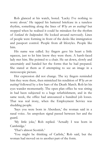Rob glanced at his watch, bored. "Lucky I"ve nothing to worry about." He tapped his battered briefcase in a tuneless rhythm, something along the lines of *Why are we waiting?* but stopped when he realised it could be mistaken for the rhythm of *Scotland the Independent*. He looked around nervously. Lines of people were forming in front of the desks like immigration and passport control. People from all lifestyles. People like him.

His name was called. Icy fingers gave his heart a little squeeze, just to let him know they were there. A harsh-faced lady met him. She pointed to a chair. He sat down, slowly and uncertainly and handed her the forms that he had prepared. She stared at them as if attempting to see an image in a stereoscopic picture.

Her expression did not change. The icy fingers reminded him they were there, then mimicked his rendition of *Why are we waiting?* followed by a few bars of the Death March. Rob let his eyes wander momentarily. The open plan office he was sitting in had been subjected to a huge refurbishment, and in the same week, the office had announced a hundred job losses. That was real irony, when the Employment Service was shedding people.

'Says you were born in Aberdeen,' the woman said in a nasal voice. An unspoken signal passed between her and the guard.

'My little joke,' Rob replied. 'Actually I was born in Cambridge.'

"That"s almost Scottish."

"You might be thinking of Carlisle," Rob said, but the woman had moved on to another part of the form.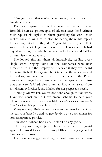"Can you prove that you"ve been looking for work over the last three weeks?'

Rob was prepared for this. He pulled two reams of paper from his briefcase: photocopies of adverts; letters he'd written; their replies; his replies to them grovelling for work; their replies back telling him to stop bothering them; his replies threatening suicide if they didn"t give him a job; and their solicitors' letters telling him to leave their clients alone. He had digital recordings of telephone calls he had made and DVDs of interviews he had taken.

She looked through them all impassively, reading every single word, ringing some of the companies who now threatened to sue the Employment Service if they ever heard the name Rob Walker again. She listened to the tapes, viewed the videos, and telephoned a friend of hers in the Police Service to arrange for experts to scour the tapes and confirm that they weren"t faked. Hours later, as Rob wiped sweat from his glistening forehead, she inhaled for her prepared speech.

"Frankly, Mr Walker, you"ve not done enough to find work. Have you considered a Government scheme to help you? There"s a residential course available: *Camps for Concentration to Search for Jobs.* It's purely voluntary.'

*Purely voluntary*, Rob realised was a euphemism for "do it or we cut your benefits", and *cut your benefits* was a euphemism for something more physical.

T've done it once,' Rob said. 'It didn't do any good.'

The unspoken signal passed between her and the guard again. He turned to see the Security Officer placing a guarded hand over his pistol.

His shoulders sagged, as though a death sentence had been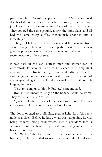passed on him. Wearily he pointed to his CV that outlined details of the numerous schemes he had tried, the same thing, just known by a different name. None of them had helped. They covered the same ground, taught the same skills, and all had the same cheap coffee, meticulously spooned into a Nescafe jar.

The gavel fell. Sentence was passed and the woman strode away leaving Rob alone to clear up the mess. Then he was given a police escort to the van that would take him to the secret location of the scheme.

It was dark in the van. Sixteen men and women sat on uncomfortable wooden benches in silence. The only light emerged from a frosted skylight overhead. After a while the van"s engines cut, motors continued to roll. The sound of chains ground against metal and the smell of fish, oil and salt lingered in the air.

"They"re taking us to bloody France," someone said.

Rob shifted uncomfortably on the bench. "Could be worse. They could take us to Scotland.'

"Quiet back there," one of the wardens barked. The van immediately fell back into a despondent gloom.

\*

The doors opened to a blinding, glaring light. Rob felt like a mole in a disco. Before he knew what was happening, he was being ushered along windowless, sterile corridors into a seminar room. He blinked, eyes watering, trying to focus on his surroundings.

'Mr Walker,' the Job Search Seminar woman said with a beaming smile that failed to reach her eyes. "May I welcome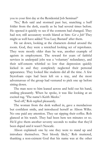you to your first day at the Residential Job Seminar?"

"No," Rob said and stormed past her, snatching a buff folder from the desk, exactly as he had several times before. He opened it quickly to see if the contents had changed. They had not; still accusatory words blared at him: *Get a Job!* They might as well have added "You Lazy Bastard" after them.

He sat down, looking at the characters dotted around the room. God, they were a wretched looking set of reprobates. They were mostly older than he was, another example of ageism in employment. The reward for years of faithful services in underpaid jobs was a 'voluntary' redundancy, and their self-esteem whittled so low that depression quickly kicked in and they completely neglected their personal appearance. They looked like students did all the time. A few Styrofoam cups had been left on a tray, and the most adventurous of the group had ventured to pick one up before sitting down.

The man next to him leaned across and held out his hand, smiling pleasantly. When he spoke, it was like looking at an excited rug. 'The name's Keith Meeks.'

'Sod off,' Rob replied pleasantly.

The woman from the desk walked in, gave a mendacious but confident smile, and introduced herself as Alison Wilks. No one paid any attention. They sat sipping their coffee. Rob glanced at his watch. They had been here ten minutes or so. He'd give them another seventy seconds to realise that they'd been duped and it wasn"t Nescafe.

Alison explained: one by one they were to stand up and introduce themselves. "Not bloody likely," Rob muttered, thanking a non-existent God that his name was at the other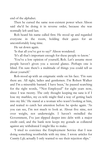end of the alphabet.

Then he cursed the same non-existent power when Alison said she"d be doing it in reverse order, because she was normally left until last.

Rob heard his name called first. He stood up and regarded everyone in the room, holding their gazes for an uncomfortably long time.

He sat down again.

"Is that all you"ve got to say?" Alison wondered.

'It's all that's important enough for these people to know.'

"You"ve a low opinion of yourself, Rob. Let"s assume most people haven"t given you a second glance. Perhaps one is blind. I'm sure there's a multitude of things you could tell us about yourself.'

Rob stood up with an enigmatic smile on his face. T'm sure there are. All right, ladies and gentlemen. I"m Robert Walker and I'm a miserable bastard. I have been,' he paused searching for the right words, ""Not Employed" for eight years now, since I was twenty. The only thought keeping me sane is if I lose my marbles, my ex-wife might find a way of getting back into my life.' He stared at a woman who wasn't looking at him, and waited to catch her attention before he spoke again. "As you can see, I"m not much to look at. About five nine, not over weight, not underweight. I haven't swindled the Government, I"ve just slipped deeper into debt with a major credit card, and the bank now keeps my gonads as collateral against any withdrawal I might like to make.

"I tried to convince the Employment Service that I was doing something worthwhile with my time. I wrote articles for *Country Life*; actually I only wanted to see their rejection slips.'